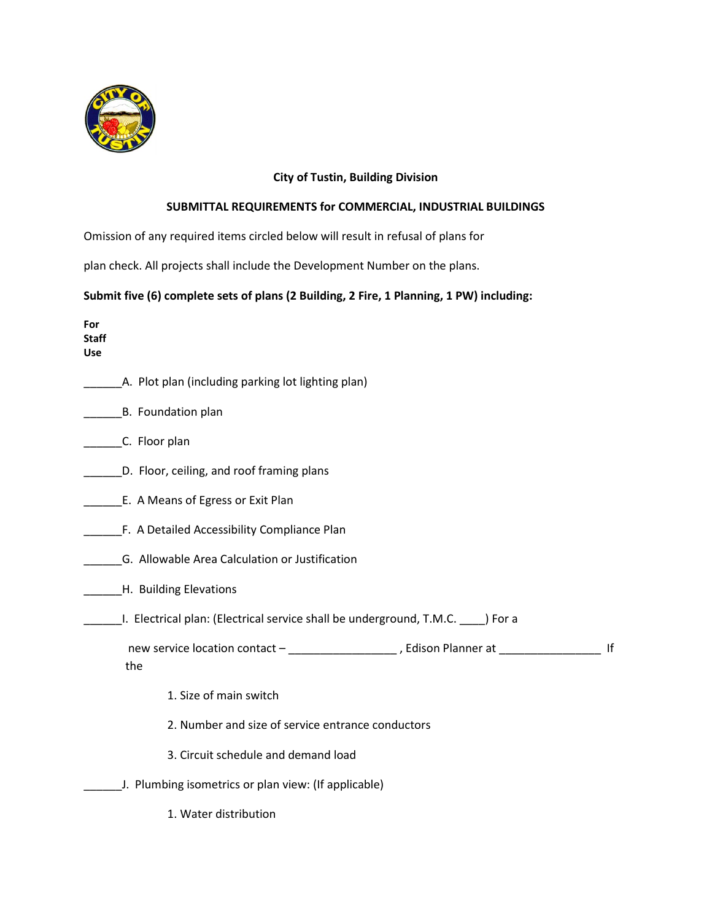

## **City of Tustin, Building Division**

## **SUBMITTAL REQUIREMENTS for COMMERCIAL, INDUSTRIAL BUILDINGS**

Omission of any required items circled below will result in refusal of plans for

plan check. All projects shall include the Development Number on the plans.

## **Submit five (6) complete sets of plans (2 Building, 2 Fire, 1 Planning, 1 PW) including:**

**For Staff Use**

| A. Plot plan (including parking lot lighting plan)                                              |
|-------------------------------------------------------------------------------------------------|
| B. Foundation plan                                                                              |
| C. Floor plan                                                                                   |
| D. Floor, ceiling, and roof framing plans                                                       |
| E. A Means of Egress or Exit Plan                                                               |
| F. A Detailed Accessibility Compliance Plan                                                     |
| G. Allowable Area Calculation or Justification                                                  |
| H. Building Elevations                                                                          |
| I. Electrical plan: (Electrical service shall be underground, T.M.C. ____) For a                |
| new service location contact - ____________________, Edison Planner at ___________<br>If<br>the |
| 1. Size of main switch                                                                          |
| 2. Number and size of service entrance conductors                                               |
| 3. Circuit schedule and demand load                                                             |
| J. Plumbing isometrics or plan view: (If applicable)                                            |
| 1. Water distribution                                                                           |
|                                                                                                 |